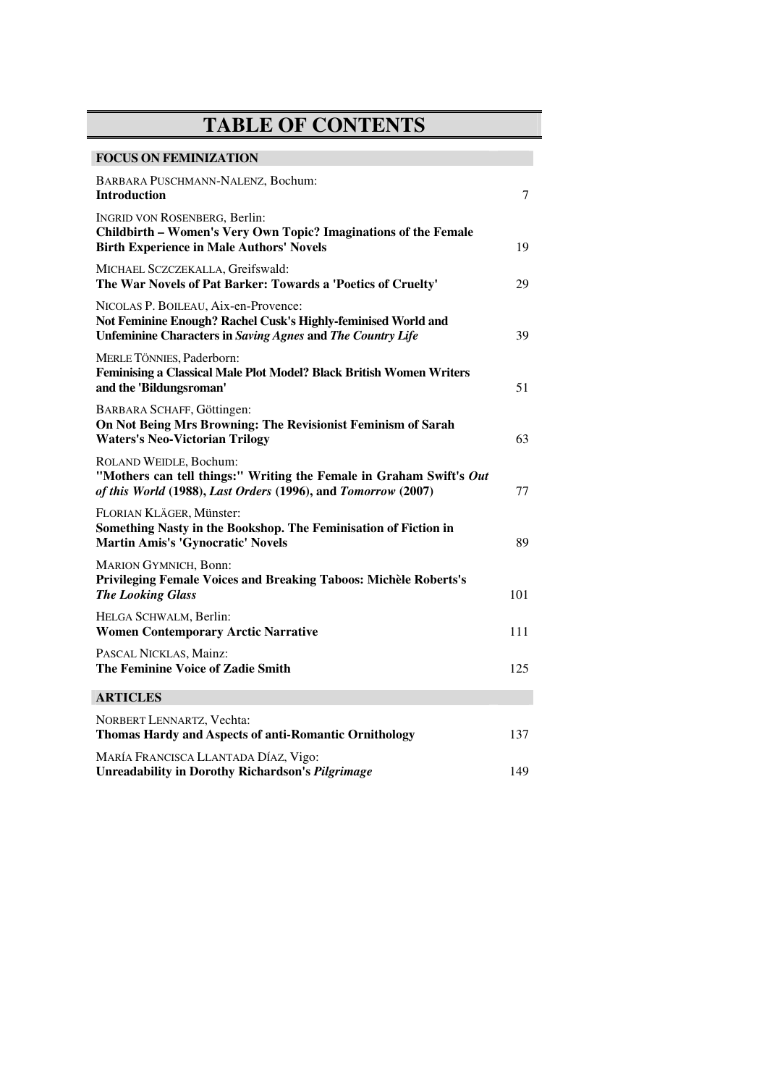## **TABLE OF CONTENTS**

| <b>FOCUS ON FEMINIZATION</b>                                                                                                                                               |     |
|----------------------------------------------------------------------------------------------------------------------------------------------------------------------------|-----|
| BARBARA PUSCHMANN-NALENZ, Bochum:<br><b>Introduction</b>                                                                                                                   | 7   |
| <b>INGRID VON ROSENBERG, Berlin:</b><br>Childbirth - Women's Very Own Topic? Imaginations of the Female<br><b>Birth Experience in Male Authors' Novels</b>                 | 19  |
| MICHAEL SCZCZEKALLA, Greifswald:<br>The War Novels of Pat Barker: Towards a 'Poetics of Cruelty'                                                                           | 29  |
| NICOLAS P. BOILEAU, Aix-en-Provence:<br>Not Feminine Enough? Rachel Cusk's Highly-feminised World and<br><b>Unfeminine Characters in Saving Agnes and The Country Life</b> | 39  |
| MERLE TÖNNIES, Paderborn:<br>Feminising a Classical Male Plot Model? Black British Women Writers<br>and the 'Bildungsroman'                                                | 51  |
| BARBARA SCHAFF, Göttingen:<br>On Not Being Mrs Browning: The Revisionist Feminism of Sarah<br><b>Waters's Neo-Victorian Trilogy</b>                                        | 63  |
| ROLAND WEIDLE, Bochum:<br>"Mothers can tell things:" Writing the Female in Graham Swift's Out<br>of this World (1988), Last Orders (1996), and Tomorrow (2007)             | 77  |
| FLORIAN KLÄGER, Münster:<br>Something Nasty in the Bookshop. The Feminisation of Fiction in<br><b>Martin Amis's 'Gynocratic' Novels</b>                                    | 89  |
| <b>MARION GYMNICH, Bonn:</b><br>Privileging Female Voices and Breaking Taboos: Michèle Roberts's<br><b>The Looking Glass</b>                                               | 101 |
| HELGA SCHWALM, Berlin:<br><b>Women Contemporary Arctic Narrative</b>                                                                                                       | 111 |
| PASCAL NICKLAS, Mainz:<br>The Feminine Voice of Zadie Smith                                                                                                                | 125 |
| <b>ARTICLES</b>                                                                                                                                                            |     |
| NORBERT LENNARTZ, Vechta:<br>Thomas Hardy and Aspects of anti-Romantic Ornithology                                                                                         | 137 |
| MARÍA FRANCISCA LLANTADA DÍAZ, Vigo:<br><b>Unreadability in Dorothy Richardson's Pilgrimage</b>                                                                            | 149 |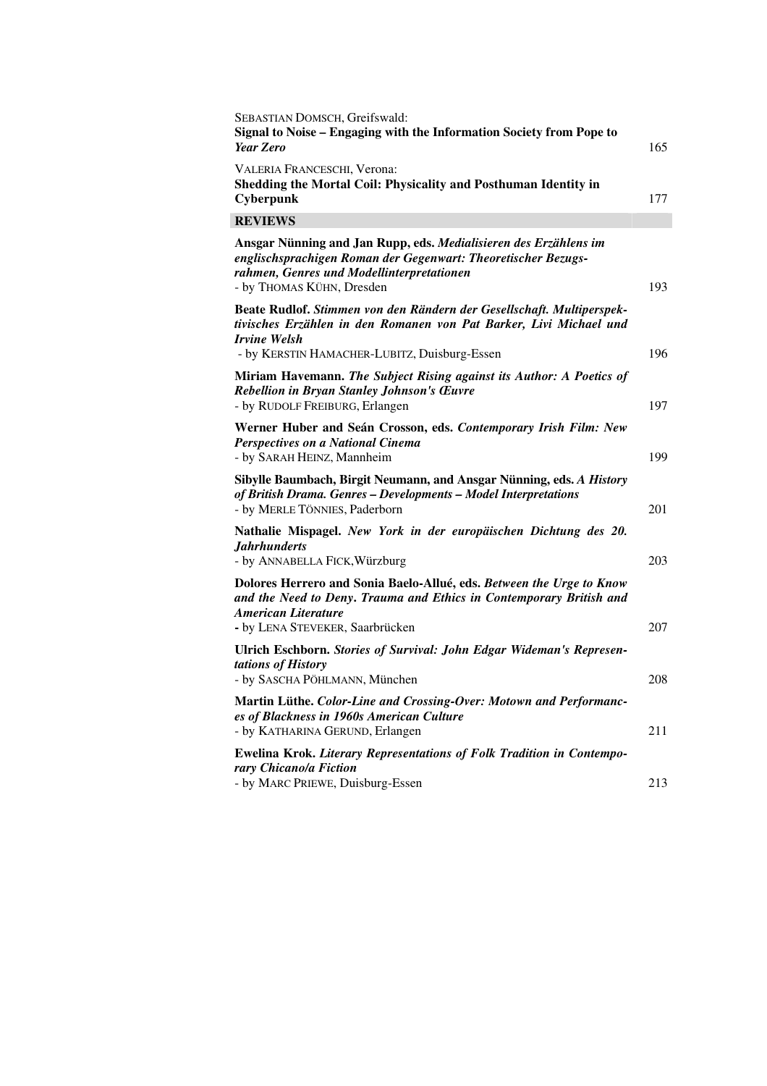| SEBASTIAN DOMSCH, Greifswald:<br>Signal to Noise - Engaging with the Information Society from Pope to<br><b>Year Zero</b>                                                                                    | 165 |
|--------------------------------------------------------------------------------------------------------------------------------------------------------------------------------------------------------------|-----|
| VALERIA FRANCESCHI, Verona:<br>Shedding the Mortal Coil: Physicality and Posthuman Identity in<br>Cyberpunk                                                                                                  | 177 |
| <b>REVIEWS</b>                                                                                                                                                                                               |     |
| Ansgar Nünning and Jan Rupp, eds. Medialisieren des Erzählens im<br>englischsprachigen Roman der Gegenwart: Theoretischer Bezugs-<br>rahmen, Genres und Modellinterpretationen<br>- by THOMAS KÜHN, Dresden  | 193 |
| Beate Rudlof. Stimmen von den Rändern der Gesellschaft. Multiperspek-<br>tivisches Erzählen in den Romanen von Pat Barker, Livi Michael und<br><b>Irvine Welsh</b>                                           |     |
| - by KERSTIN HAMACHER-LUBITZ, Duisburg-Essen                                                                                                                                                                 | 196 |
| Miriam Havemann. The Subject Rising against its Author: A Poetics of<br>Rebellion in Bryan Stanley Johnson's Œuvre<br>- by RUDOLF FREIBURG, Erlangen                                                         | 197 |
| Werner Huber and Seán Crosson, eds. Contemporary Irish Film: New<br><b>Perspectives on a National Cinema</b><br>- by SARAH HEINZ, Mannheim                                                                   | 199 |
| Sibylle Baumbach, Birgit Neumann, and Ansgar Nünning, eds. A History<br>of British Drama. Genres - Developments - Model Interpretations<br>- by MERLE TÖNNIES, Paderborn                                     | 201 |
| Nathalie Mispagel. New York in der europäischen Dichtung des 20.<br><b>Jahrhunderts</b><br>- by ANNABELLA FICK, Würzburg                                                                                     | 203 |
| Dolores Herrero and Sonia Baelo-Allué, eds. Between the Urge to Know<br>and the Need to Deny. Trauma and Ethics in Contemporary British and<br><b>American Literature</b><br>- by LENA STEVEKER, Saarbrücken | 207 |
| Ulrich Eschborn. Stories of Survival: John Edgar Wideman's Represen-<br>tations of History<br>- by SASCHA PÖHLMANN, München                                                                                  | 208 |
| Martin Lüthe. Color-Line and Crossing-Over: Motown and Performanc-<br>es of Blackness in 1960s American Culture<br>- by KATHARINA GERUND, Erlangen                                                           | 211 |
| <b>Ewelina Krok. Literary Representations of Folk Tradition in Contempo-</b><br>rary Chicano/a Fiction<br>- by MARC PRIEWE, Duisburg-Essen                                                                   | 213 |
|                                                                                                                                                                                                              |     |